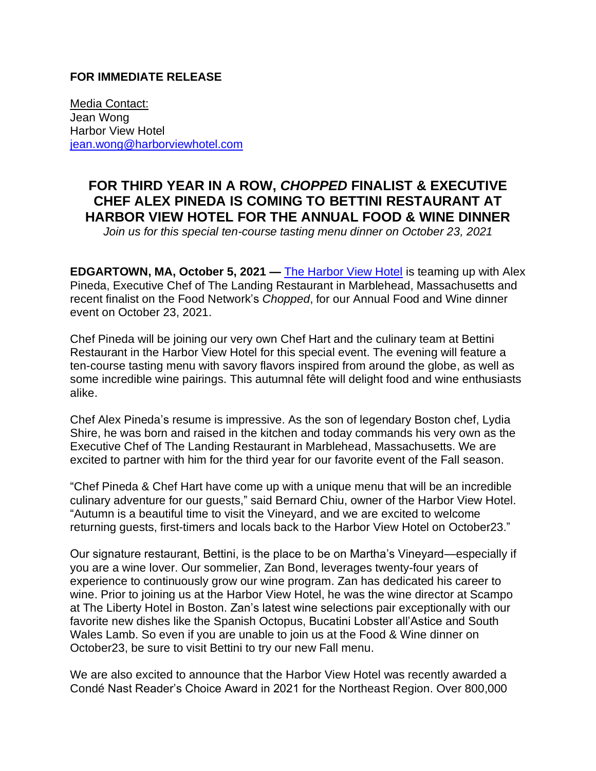## **FOR IMMEDIATE RELEASE**

Media Contact: Jean Wong Harbor View Hotel [jean.wong@harborviewhotel.com](mailto:jean.wong@harborviewhotel.com)

## **FOR THIRD YEAR IN A ROW,** *CHOPPED* **FINALIST & EXECUTIVE CHEF ALEX PINEDA IS COMING TO BETTINI RESTAURANT AT HARBOR VIEW HOTEL FOR THE ANNUAL FOOD & WINE DINNER**

*Join us for this special ten-course tasting menu dinner on October 23, 2021*

**EDGARTOWN, MA, October 5, 2021 — [The Harbor View Hotel](https://harborviewhotel.com/) is teaming up with Alex** Pineda, Executive Chef of The Landing Restaurant in Marblehead, Massachusetts and recent finalist on the Food Network's *Chopped*, for our Annual Food and Wine dinner event on October 23, 2021.

Chef Pineda will be joining our very own Chef Hart and the culinary team at Bettini Restaurant in the Harbor View Hotel for this special event. The evening will feature a ten-course tasting menu with savory flavors inspired from around the globe, as well as some incredible wine pairings. This autumnal fête will delight food and wine enthusiasts alike.

Chef Alex Pineda's resume is impressive. As the son of legendary Boston chef, Lydia Shire, he was born and raised in the kitchen and today commands his very own as the Executive Chef of The Landing Restaurant in Marblehead, Massachusetts. We are excited to partner with him for the third year for our favorite event of the Fall season.

"Chef Pineda & Chef Hart have come up with a unique menu that will be an incredible culinary adventure for our guests," said Bernard Chiu, owner of the Harbor View Hotel. "Autumn is a beautiful time to visit the Vineyard, and we are excited to welcome returning guests, first-timers and locals back to the Harbor View Hotel on October23."

Our signature restaurant, Bettini, is the place to be on Martha's Vineyard—especially if you are a wine lover. Our sommelier, Zan Bond, leverages twenty-four years of experience to continuously grow our wine program. Zan has dedicated his career to wine. Prior to joining us at the Harbor View Hotel, he was the wine director at Scampo at The Liberty Hotel in Boston. Zan's latest wine selections pair exceptionally with our favorite new dishes like the Spanish Octopus, Bucatini Lobster all'Astice and South Wales Lamb. So even if you are unable to join us at the Food & Wine dinner on October23, be sure to visit Bettini to try our new Fall menu.

We are also excited to announce that the Harbor View Hotel was recently awarded a Condé Nast Reader's Choice Award in 2021 for the Northeast Region. Over 800,000